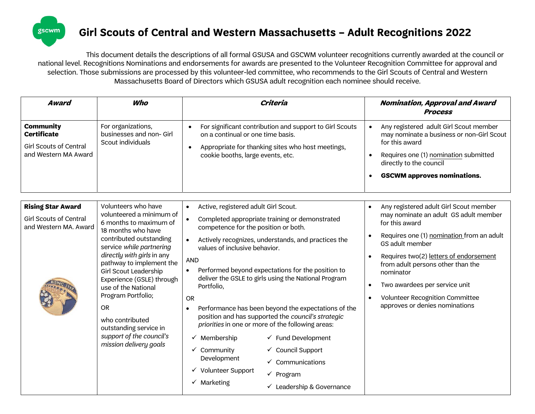

## Girl Scouts of Central and Western Massachusetts – Adult Recognitions 2022

This document details the descriptions of all formal GSUSA and GSCWM volunteer recognitions currently awarded at the council or national level. Recognitions Nominations and endorsements for awards are presented to the Volunteer Recognition Committee for approval and selection. Those submissions are processed by this volunteer-led committee, who recommends to the Girl Scouts of Central and Western Massachusetts Board of Directors which GSUSA adult recognition each nominee should receive.

| <b>Community</b><br>For organizations,<br>For significant contribution and support to Girl Scouts<br>Any registered adult Girl Scout member<br><b>Certificate</b><br>businesses and non- Girl<br>on a continual or one time basis.<br>for this award<br>Scout individuals<br><b>Girl Scouts of Central</b><br>Appropriate for thanking sites who host meetings,<br>and Western MA Award<br>Requires one (1) nomination submitted<br>cookie booths, large events, etc.<br>directly to the council<br><b>GSCWM approves nominations.</b><br>Volunteers who have<br><b>Rising Star Award</b><br>Active, registered adult Girl Scout.<br>Any registered adult Girl Scout member<br>$\bullet$<br>$\bullet$<br>volunteered a minimum of<br><b>Girl Scouts of Central</b><br>Completed appropriate training or demonstrated<br>$\bullet$<br>6 months to maximum of<br>for this award<br>and Western MA. Award<br>competence for the position or both.<br>18 months who have<br>contributed outstanding<br>Actively recognizes, understands, and practices the<br>$\bullet$<br>GS adult member<br>service while partnering<br>values of inclusive behavior.<br>directly with girls in any<br>Requires two(2) letters of endorsement<br>$\bullet$<br><b>AND</b><br>pathway to implement the<br>from adult persons other than the<br>Performed beyond expectations for the position to<br><b>Girl Scout Leadership</b><br>nominator<br>deliver the GSLE to girls using the National Program<br>Experience (GSLE) through<br>Two awardees per service unit<br>Portfolio,<br>use of the National<br>Program Portfolio;<br>Volunteer Recognition Committee<br>$\bullet$<br><b>OR</b><br>approves or denies nominations<br><b>OR</b><br>Performance has been beyond the expectations of the<br>$\bullet$ | Award | Who             | Criteria                                           | Nomination, Approval and Award<br><b>Process</b>                                   |
|--------------------------------------------------------------------------------------------------------------------------------------------------------------------------------------------------------------------------------------------------------------------------------------------------------------------------------------------------------------------------------------------------------------------------------------------------------------------------------------------------------------------------------------------------------------------------------------------------------------------------------------------------------------------------------------------------------------------------------------------------------------------------------------------------------------------------------------------------------------------------------------------------------------------------------------------------------------------------------------------------------------------------------------------------------------------------------------------------------------------------------------------------------------------------------------------------------------------------------------------------------------------------------------------------------------------------------------------------------------------------------------------------------------------------------------------------------------------------------------------------------------------------------------------------------------------------------------------------------------------------------------------------------------------------------------------------------------------------------------------------------------------------------------------|-------|-----------------|----------------------------------------------------|------------------------------------------------------------------------------------|
|                                                                                                                                                                                                                                                                                                                                                                                                                                                                                                                                                                                                                                                                                                                                                                                                                                                                                                                                                                                                                                                                                                                                                                                                                                                                                                                                                                                                                                                                                                                                                                                                                                                                                                                                                                                            |       |                 |                                                    | may nominate a business or non-Girl Scout                                          |
| priorities in one or more of the following areas:<br>outstanding service in<br>support of the council's<br>$\checkmark$ Fund Development<br>$\checkmark$ Membership<br>mission delivery goals<br>✓ Council Support<br>$\checkmark$ Community<br>Development<br>$\checkmark$ Communications<br>√ Volunteer Support<br>$\checkmark$ Program                                                                                                                                                                                                                                                                                                                                                                                                                                                                                                                                                                                                                                                                                                                                                                                                                                                                                                                                                                                                                                                                                                                                                                                                                                                                                                                                                                                                                                                  |       | who contributed | position and has supported the council's strategic | may nominate an adult GS adult member<br>Requires one (1) nomination from an adult |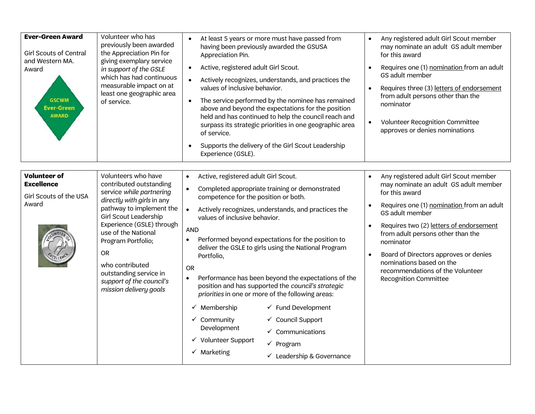| <b>Ever-Green Award</b><br><b>Girl Scouts of Central</b><br>and Western MA.<br>Award<br><b>GSCWM</b><br><b>Ever-Green</b><br><b>AWARD</b> | Volunteer who has<br>previously been awarded<br>the Appreciation Pin for<br>giving exemplary service<br>in support of the GSLE<br>which has had continuous<br>measurable impact on at<br>least one geographic area<br>of service.                                                                                                                              | At least 5 years or more must have passed from<br>having been previously awarded the GSUSA<br>Appreciation Pin.<br>Active, registered adult Girl Scout.<br>$\bullet$<br>Actively recognizes, understands, and practices the<br>values of inclusive behavior.<br>The service performed by the nominee has remained<br>$\bullet$<br>above and beyond the expectations for the position<br>held and has continued to help the council reach and<br>surpass its strategic priorities in one geographic area<br>of service.<br>Supports the delivery of the Girl Scout Leadership<br>$\bullet$<br>Experience (GSLE).                                                                                                                                                                                                                                                                         | Any registered adult Girl Scout member<br>$\bullet$<br>may nominate an adult GS adult member<br>for this award<br>Requires one (1) nomination from an adult<br>GS adult member<br>Requires three (3) letters of endorsement<br>from adult persons other than the<br>nominator<br>Volunteer Recognition Committee<br>approves or denies nominations                                                            |
|-------------------------------------------------------------------------------------------------------------------------------------------|----------------------------------------------------------------------------------------------------------------------------------------------------------------------------------------------------------------------------------------------------------------------------------------------------------------------------------------------------------------|-----------------------------------------------------------------------------------------------------------------------------------------------------------------------------------------------------------------------------------------------------------------------------------------------------------------------------------------------------------------------------------------------------------------------------------------------------------------------------------------------------------------------------------------------------------------------------------------------------------------------------------------------------------------------------------------------------------------------------------------------------------------------------------------------------------------------------------------------------------------------------------------|---------------------------------------------------------------------------------------------------------------------------------------------------------------------------------------------------------------------------------------------------------------------------------------------------------------------------------------------------------------------------------------------------------------|
| <b>Volunteer of</b><br><b>Excellence</b><br>Girl Scouts of the USA<br>Award                                                               | Volunteers who have<br>contributed outstanding<br>service while partnering<br>directly with girls in any<br>pathway to implement the<br><b>Girl Scout Leadership</b><br>Experience (GSLE) through<br>use of the National<br>Program Portfolio;<br><b>OR</b><br>who contributed<br>outstanding service in<br>support of the council's<br>mission delivery goals | Active, registered adult Girl Scout.<br>$\bullet$<br>Completed appropriate training or demonstrated<br>$\bullet$<br>competence for the position or both.<br>Actively recognizes, understands, and practices the<br>values of inclusive behavior.<br><b>AND</b><br>Performed beyond expectations for the position to<br>$\bullet$<br>deliver the GSLE to girls using the National Program<br>Portfolio,<br><b>OR</b><br>Performance has been beyond the expectations of the<br>$\bullet$<br>position and has supported the council's strategic<br>priorities in one or more of the following areas:<br>$\checkmark$ Membership<br>$\checkmark$ Fund Development<br>$\checkmark$ Community<br>✓ Council Support<br>Development<br>$\checkmark$ Communications<br>$\checkmark$ Volunteer Support<br>$\checkmark$ Program<br>$\checkmark$ Marketing<br>$\checkmark$ Leadership & Governance | Any registered adult Girl Scout member<br>$\bullet$<br>may nominate an adult GS adult member<br>for this award<br>Requires one (1) nomination from an adult<br>GS adult member<br>Requires two (2) letters of endorsement<br>from adult persons other than the<br>nominator<br>Board of Directors approves or denies<br>nominations based on the<br>recommendations of the Volunteer<br>Recognition Committee |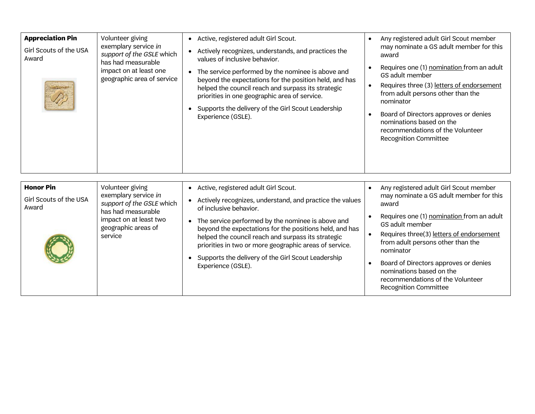| <b>Appreciation Pin</b><br>Girl Scouts of the USA<br>Award | Volunteer giving<br>exemplary service in<br>support of the GSLE which<br>has had measurable<br>impact on at least one<br>geographic area of service     | • Active, registered adult Girl Scout.<br>Actively recognizes, understands, and practices the<br>values of inclusive behavior.<br>• The service performed by the nominee is above and<br>beyond the expectations for the position held, and has<br>helped the council reach and surpass its strategic<br>priorities in one geographic area of service.<br>Supports the delivery of the Girl Scout Leadership<br>Experience (GSLE).                    | Any registered adult Girl Scout member<br>may nominate a GS adult member for this<br>award<br>Requires one (1) nomination from an adult<br>GS adult member<br>Requires three (3) letters of endorsement<br>$\bullet$<br>from adult persons other than the<br>nominator<br>Board of Directors approves or denies<br>nominations based on the<br>recommendations of the Volunteer<br>Recognition Committee                                 |
|------------------------------------------------------------|---------------------------------------------------------------------------------------------------------------------------------------------------------|-------------------------------------------------------------------------------------------------------------------------------------------------------------------------------------------------------------------------------------------------------------------------------------------------------------------------------------------------------------------------------------------------------------------------------------------------------|------------------------------------------------------------------------------------------------------------------------------------------------------------------------------------------------------------------------------------------------------------------------------------------------------------------------------------------------------------------------------------------------------------------------------------------|
| <b>Honor Pin</b><br>Girl Scouts of the USA<br>Award        | Volunteer giving<br>exemplary service in<br>support of the GSLE which<br>has had measurable<br>impact on at least two<br>geographic areas of<br>service | Active, registered adult Girl Scout.<br>$\bullet$<br>Actively recognizes, understand, and practice the values<br>of inclusive behavior.<br>• The service performed by the nominee is above and<br>beyond the expectations for the positions held, and has<br>helped the council reach and surpass its strategic<br>priorities in two or more geographic areas of service.<br>Supports the delivery of the Girl Scout Leadership<br>Experience (GSLE). | Any registered adult Girl Scout member<br>$\bullet$<br>may nominate a GS adult member for this<br>award<br>Requires one (1) nomination from an adult<br>GS adult member<br>Requires three(3) letters of endorsement<br>$\bullet$<br>from adult persons other than the<br>nominator<br>Board of Directors approves or denies<br>$\bullet$<br>nominations based on the<br>recommendations of the Volunteer<br><b>Recognition Committee</b> |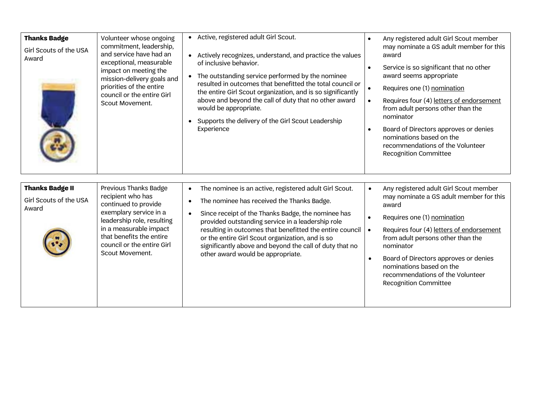| <b>Thanks Badge</b><br>Girl Scouts of the USA<br>Award    | Volunteer whose ongoing<br>commitment, leadership,<br>and service have had an<br>exceptional, measurable<br>impact on meeting the<br>mission-delivery goals and<br>priorities of the entire<br>council or the entire Girl<br>Scout Movement. | • Active, registered adult Girl Scout.<br>• Actively recognizes, understand, and practice the values<br>of inclusive behavior.<br>• The outstanding service performed by the nominee<br>resulted in outcomes that benefitted the total council or<br>the entire Girl Scout organization, and is so significantly<br>above and beyond the call of duty that no other award<br>would be appropriate.<br>• Supports the delivery of the Girl Scout Leadership<br>Experience | Any registered adult Girl Scout member<br>$\bullet$<br>may nominate a GS adult member for this<br>award<br>Service is so significant that no other<br>award seems appropriate<br>Requires one (1) nomination<br>$\bullet$<br>Requires four (4) letters of endorsement<br>$\bullet$<br>from adult persons other than the<br>nominator<br>Board of Directors approves or denies<br>$\bullet$<br>nominations based on the<br>recommendations of the Volunteer<br>Recognition Committee |
|-----------------------------------------------------------|----------------------------------------------------------------------------------------------------------------------------------------------------------------------------------------------------------------------------------------------|--------------------------------------------------------------------------------------------------------------------------------------------------------------------------------------------------------------------------------------------------------------------------------------------------------------------------------------------------------------------------------------------------------------------------------------------------------------------------|-------------------------------------------------------------------------------------------------------------------------------------------------------------------------------------------------------------------------------------------------------------------------------------------------------------------------------------------------------------------------------------------------------------------------------------------------------------------------------------|
| <b>Thanks Badge II</b><br>Girl Scouts of the USA<br>Award | <b>Previous Thanks Badge</b><br>recipient who has<br>continued to provide<br>exemplary service in a<br>leadership role, resulting<br>in a measurable impact<br>that benefits the entire<br>council or the entire Girl<br>Scout Movement.     | The nominee is an active, registered adult Girl Scout.<br>$\bullet$<br>The nominee has received the Thanks Badge.<br>Since receipt of the Thanks Badge, the nominee has<br>$\bullet$<br>provided outstanding service in a leadership role<br>resulting in outcomes that benefitted the entire council<br>or the entire Girl Scout organization, and is so<br>significantly above and beyond the call of duty that no<br>other award would be appropriate.                | Any registered adult Girl Scout member<br>$\bullet$<br>may nominate a GS adult member for this<br>award<br>Requires one (1) nomination<br>Requires four (4) letters of endorsement<br>$\bullet$<br>from adult persons other than the<br>nominator<br>Board of Directors approves or denies<br>$\bullet$<br>nominations based on the<br>recommendations of the Volunteer<br>Recognition Committee                                                                                    |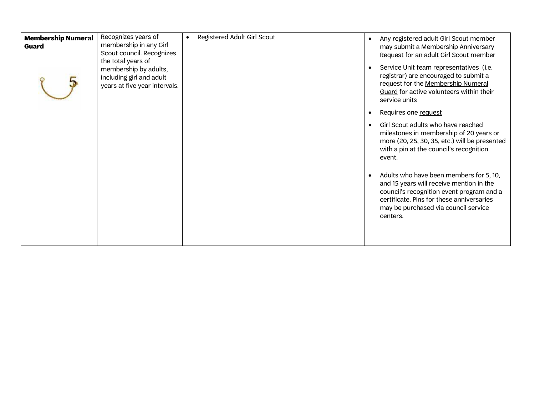| <b>Membership Numeral</b><br><b>Guard</b> | Recognizes years of<br>membership in any Girl<br>Scout council. Recognizes<br>the total years of<br>membership by adults,<br>including girl and adult<br>years at five year intervals. | Registered Adult Girl Scout<br>$\bullet$ | Any registered adult Girl Scout member<br>may submit a Membership Anniversary<br>Request for an adult Girl Scout member<br>Service Unit team representatives (i.e.<br>registrar) are encouraged to submit a<br>request for the Membership Numeral<br>Guard for active volunteers within their<br>service units |
|-------------------------------------------|----------------------------------------------------------------------------------------------------------------------------------------------------------------------------------------|------------------------------------------|----------------------------------------------------------------------------------------------------------------------------------------------------------------------------------------------------------------------------------------------------------------------------------------------------------------|
|                                           |                                                                                                                                                                                        |                                          | Requires one request                                                                                                                                                                                                                                                                                           |
|                                           |                                                                                                                                                                                        |                                          | Girl Scout adults who have reached<br>milestones in membership of 20 years or<br>more (20, 25, 30, 35, etc.) will be presented<br>with a pin at the council's recognition<br>event.                                                                                                                            |
|                                           |                                                                                                                                                                                        |                                          | Adults who have been members for 5, 10,<br>and 15 years will receive mention in the<br>council's recognition event program and a<br>certificate. Pins for these anniversaries<br>may be purchased via council service<br>centers.                                                                              |
|                                           |                                                                                                                                                                                        |                                          |                                                                                                                                                                                                                                                                                                                |